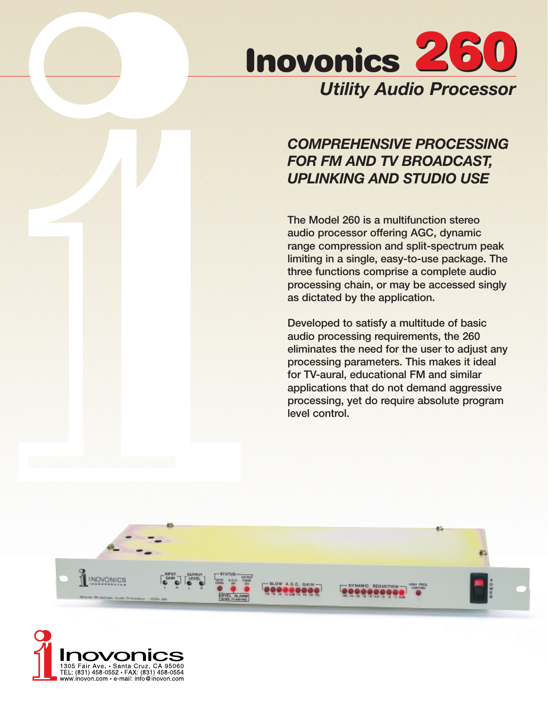

## *COMPREHENSIVE PROCESSING FOR FM AND TV BROADCAST, UPLINKING AND STUDIO USE*

**The Model 260 is a multifunction stereo audio processor offering AGC, dynamic range compression and split-spectrum peak limiting in a single, easy-to-use package. The three functions comprise a complete audio processing chain, or may be accessed singly as dictated by the application.** 

**Developed to satisfy a multitude of basic audio processing requirements, the 260 eliminates the need for the user to adjust any processing parameters. This makes it ideal for TV-aural, educational FM and similar applications that do not demand aggressive processing, yet do require absolute program level control.**